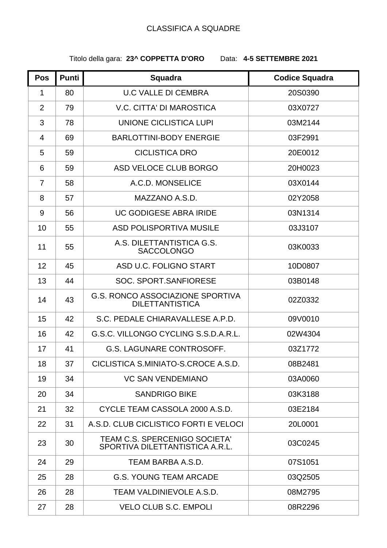## CLASSIFICA A SQUADRE

## Titolo della gara: **23^ COPPETTA D'ORO** Data: **4-5 SETTEMBRE 2021**

| Pos            | <b>Punti</b> | <b>Squadra</b>                                                    | <b>Codice Squadra</b> |
|----------------|--------------|-------------------------------------------------------------------|-----------------------|
| $\mathbf 1$    | 80           | <b>U.C VALLE DI CEMBRA</b>                                        | 20S0390               |
| $\overline{2}$ | 79           | <b>V.C. CITTA' DI MAROSTICA</b>                                   | 03X0727               |
| 3              | 78           | UNIONE CICLISTICA LUPI                                            | 03M2144               |
| 4              | 69           | <b>BARLOTTINI-BODY ENERGIE</b>                                    | 03F2991               |
| 5              | 59           | <b>CICLISTICA DRO</b>                                             | 20E0012               |
| 6              | 59           | ASD VELOCE CLUB BORGO                                             | 20H0023               |
| $\overline{7}$ | 58           | A.C.D. MONSELICE                                                  | 03X0144               |
| 8              | 57           | MAZZANO A.S.D.                                                    | 02Y2058               |
| 9              | 56           | <b>UC GODIGESE ABRA IRIDE</b>                                     | 03N1314               |
| 10             | 55           | <b>ASD POLISPORTIVA MUSILE</b>                                    | 03J3107               |
| 11             | 55           | A.S. DILETTANTISTICA G.S.<br><b>SACCOLONGO</b>                    | 03K0033               |
| 12             | 45           | ASD U.C. FOLIGNO START                                            | 10D0807               |
| 13             | 44           | SOC. SPORT.SANFIORESE                                             | 03B0148               |
| 14             | 43           | <b>G.S. RONCO ASSOCIAZIONE SPORTIVA</b><br><b>DILETTANTISTICA</b> | 02Z0332               |
| 15             | 42           | S.C. PEDALE CHIARAVALLESE A.P.D.                                  | 09V0010               |
| 16             | 42           | G.S.C. VILLONGO CYCLING S.S.D.A.R.L.                              | 02W4304               |
| 17             | 41           | G.S. LAGUNARE CONTROSOFF.                                         | 03Z1772               |
| 18             | 37           | CICLISTICA S.MINIATO-S.CROCE A.S.D.                               | 08B2481               |
| 19             | 34           | <b>VC SAN VENDEMIANO</b>                                          | 03A0060               |
| 20             | 34           | <b>SANDRIGO BIKE</b>                                              | 03K3188               |
| 21             | 32           | CYCLE TEAM CASSOLA 2000 A.S.D.                                    | 03E2184               |
| 22             | 31           | A.S.D. CLUB CICLISTICO FORTI E VELOCI                             | 20L0001               |
| 23             | 30           | TEAM C.S. SPERCENIGO SOCIETA'<br>SPORTIVA DILETTANTISTICA A.R.L.  | 03C0245               |
| 24             | 29           | TEAM BARBA A.S.D.                                                 | 07S1051               |
| 25             | 28           | <b>G.S. YOUNG TEAM ARCADE</b>                                     | 03Q2505               |
| 26             | 28           | TEAM VALDINIEVOLE A.S.D.                                          | 08M2795               |
| 27             | 28           | <b>VELO CLUB S.C. EMPOLI</b>                                      | 08R2296               |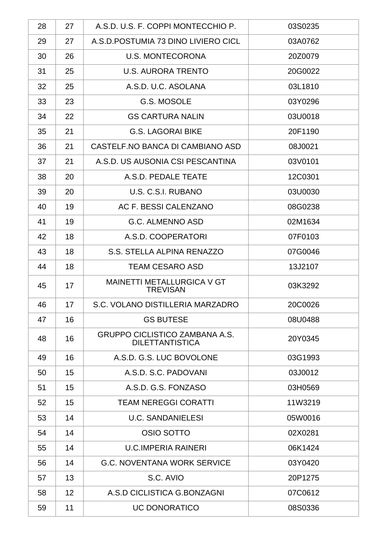| 28 | 27 | A.S.D. U.S. F. COPPI MONTECCHIO P.                              | 03S0235 |
|----|----|-----------------------------------------------------------------|---------|
| 29 | 27 | A.S.D. POSTUMIA 73 DINO LIVIERO CICL                            | 03A0762 |
| 30 | 26 | <b>U.S. MONTECORONA</b>                                         | 20Z0079 |
| 31 | 25 | <b>U.S. AURORA TRENTO</b>                                       | 20G0022 |
| 32 | 25 | A.S.D. U.C. ASOLANA                                             | 03L1810 |
| 33 | 23 | G.S. MOSOLE                                                     | 03Y0296 |
| 34 | 22 | <b>GS CARTURA NALIN</b>                                         | 03U0018 |
| 35 | 21 | <b>G.S. LAGORAI BIKE</b>                                        | 20F1190 |
| 36 | 21 | CASTELF.NO BANCA DI CAMBIANO ASD                                | 08J0021 |
| 37 | 21 | A.S.D. US AUSONIA CSI PESCANTINA                                | 03V0101 |
| 38 | 20 | A.S.D. PEDALE TEATE                                             | 12C0301 |
| 39 | 20 | U.S. C.S.I. RUBANO                                              | 03U0030 |
| 40 | 19 | AC F. BESSI CALENZANO                                           | 08G0238 |
| 41 | 19 | <b>G.C. ALMENNO ASD</b>                                         | 02M1634 |
| 42 | 18 | A.S.D. COOPERATORI                                              | 07F0103 |
| 43 | 18 | S.S. STELLA ALPINA RENAZZO                                      | 07G0046 |
| 44 | 18 | <b>TEAM CESARO ASD</b>                                          | 13J2107 |
| 45 | 17 | MAINETTI METALLURGICA V GT<br><b>TREVISAN</b>                   | 03K3292 |
| 46 | 17 | S.C. VOLANO DISTILLERIA MARZADRO                                | 20C0026 |
| 47 | 16 | <b>GS BUTESE</b>                                                | 08U0488 |
| 48 | 16 | <b>GRUPPO CICLISTICO ZAMBANA A.S.</b><br><b>DILETTANTISTICA</b> | 20Y0345 |
| 49 | 16 | A.S.D. G.S. LUC BOVOLONE                                        | 03G1993 |
| 50 | 15 | A.S.D. S.C. PADOVANI                                            | 03J0012 |
| 51 | 15 | A.S.D. G.S. FONZASO                                             | 03H0569 |
| 52 | 15 | <b>TEAM NEREGGI CORATTI</b>                                     | 11W3219 |
| 53 | 14 | <b>U.C. SANDANIELESI</b>                                        | 05W0016 |
| 54 | 14 | OSIO SOTTO                                                      | 02X0281 |
| 55 | 14 | <b>U.C.IMPERIA RAINERI</b>                                      | 06K1424 |
| 56 | 14 | <b>G.C. NOVENTANA WORK SERVICE</b>                              | 03Y0420 |
| 57 | 13 | S.C. AVIO                                                       | 20P1275 |
| 58 | 12 | A.S.D CICLISTICA G.BONZAGNI                                     | 07C0612 |
| 59 | 11 | <b>UC DONORATICO</b>                                            | 08S0336 |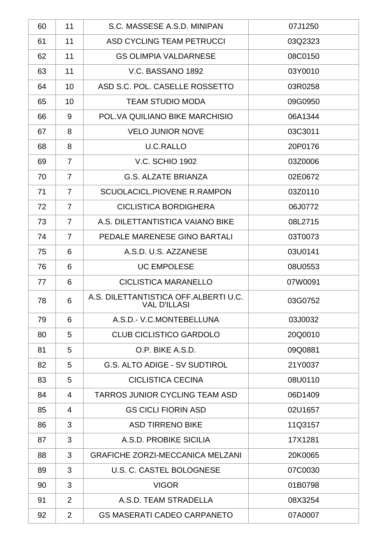| 60 | 11             | S.C. MASSESE A.S.D. MINIPAN                                  | 07J1250 |
|----|----------------|--------------------------------------------------------------|---------|
| 61 | 11             | ASD CYCLING TEAM PETRUCCI                                    | 03Q2323 |
| 62 | 11             | <b>GS OLIMPIA VALDARNESE</b>                                 | 08C0150 |
| 63 | 11             | V.C. BASSANO 1892                                            | 03Y0010 |
| 64 | 10             | ASD S.C. POL. CASELLE ROSSETTO                               | 03R0258 |
| 65 | 10             | <b>TEAM STUDIO MODA</b>                                      | 09G0950 |
| 66 | 9              | POL. VA QUILIANO BIKE MARCHISIO                              | 06A1344 |
| 67 | 8              | <b>VELO JUNIOR NOVE</b>                                      | 03C3011 |
| 68 | 8              | <b>U.C.RALLO</b>                                             | 20P0176 |
| 69 | $\overline{7}$ | <b>V.C. SCHIO 1902</b>                                       | 03Z0006 |
| 70 | $\overline{7}$ | <b>G.S. ALZATE BRIANZA</b>                                   | 02E0672 |
| 71 | $\overline{7}$ | SCUOLACICL, PIOVENE R, RAMPON                                | 03Z0110 |
| 72 | $\overline{7}$ | <b>CICLISTICA BORDIGHERA</b>                                 | 06J0772 |
| 73 | $\overline{7}$ | A.S. DILETTANTISTICA VAIANO BIKE                             | 08L2715 |
| 74 | $\overline{7}$ | PEDALE MARENESE GINO BARTALI                                 | 03T0073 |
| 75 | 6              | A.S.D. U.S. AZZANESE                                         | 03U0141 |
| 76 | 6              | <b>UC EMPOLESE</b>                                           | 08U0553 |
| 77 | 6              | <b>CICLISTICA MARANELLO</b>                                  | 07W0091 |
| 78 | 6              | A.S. DILETTANTISTICA OFF.ALBERTI U.C.<br><b>VAL D'ILLASI</b> | 03G0752 |
| 79 | 6              | A.S.D.- V.C.MONTEBELLUNA                                     | 03J0032 |
| 80 | 5              | <b>CLUB CICLISTICO GARDOLO</b>                               | 20Q0010 |
| 81 | 5              | O.P. BIKE A.S.D.                                             | 09Q0881 |
| 82 | 5              | <b>G.S. ALTO ADIGE - SV SUDTIROL</b>                         | 21Y0037 |
| 83 | 5              | <b>CICLISTICA CECINA</b>                                     | 08U0110 |
| 84 | 4              | TARROS JUNIOR CYCLING TEAM ASD                               | 06D1409 |
| 85 | 4              | <b>GS CICLI FIORIN ASD</b>                                   | 02U1657 |
| 86 | 3              | <b>ASD TIRRENO BIKE</b>                                      | 11Q3157 |
| 87 | 3              | A.S.D. PROBIKE SICILIA                                       | 17X1281 |
| 88 | 3              | <b>GRAFICHE ZORZI-MECCANICA MELZANI</b>                      | 20K0065 |
| 89 | 3              | U.S. C. CASTEL BOLOGNESE                                     | 07C0030 |
| 90 | 3              | <b>VIGOR</b>                                                 | 01B0798 |
| 91 | 2              | A.S.D. TEAM STRADELLA                                        | 08X3254 |
| 92 | 2              | <b>GS MASERATI CADEO CARPANETO</b>                           | 07A0007 |